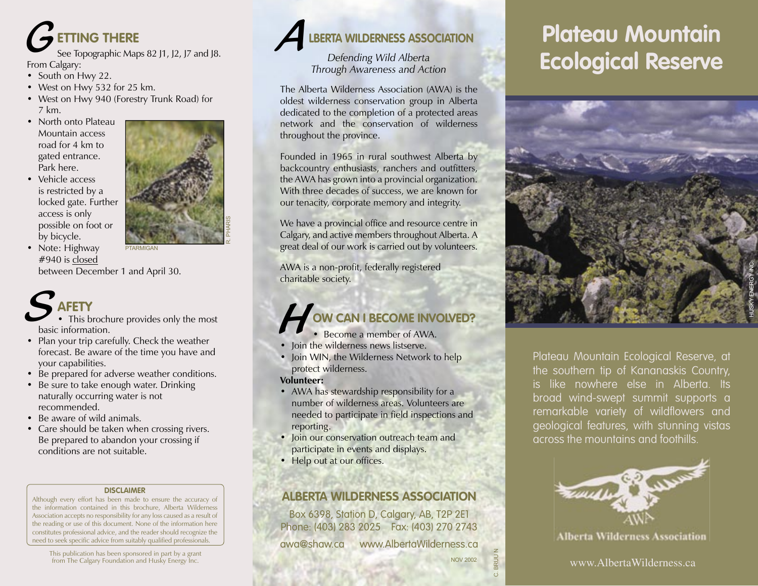

See Topographic Maps 82 J1, J2, J7 and J8.

- South on Hwy 22.
- West on Hwy 532 for 25 km.
- West on Hwy 940 (Forestry Trunk Road) for 7 km.
- North onto Plateau Mountain access road for 4 km to gated entrance. Park here.
- Vehicle access is restricted by a locked gate. Further access is only possible on foot or by bicycle.



R. PHARIS

• Note: Highway #940 is closed

between December 1 and April 30.

## **AFETY** S<sub>hasi</sub>

• This brochure provides only the most basic information.

PTARMIGAN

- Plan your trip carefully. Check the weather forecast. Be aware of the time you have and your capabilities.
- Be prepared for adverse weather conditions.
- Be sure to take enough water. Drinking naturally occurring water is not recommended.
- Be aware of wild animals.
- Care should be taken when crossing rivers. Be prepared to abandon your crossing if conditions are not suitable.

### **DISCLAIMER**

Although every effort has been made to ensure the accuracy of the information contained in this brochure, Alberta Wilderness Association accepts no responsibility for any loss caused as a result of the reading or use of this document. None of the information here constitutes professional advice, and the reader should recognize the need to seek specific advice from suitably qualified professionals.

This publication has been sponsored in part by a grant<br>from The Calgary Foundation and Husky Energy Inc.



*Defending Wild Alberta Through Awareness and Action*

The Alberta Wilderness Association (AWA) is the oldest wilderness conservation group in Alberta dedicated to the completion of a protected areas network and the conservation of wilderness throughout the province.

Founded in 1965 in rural southwest Alberta by backcountry enthusiasts, ranchers and outfitters, the AWA has grown into a provincial organization. With three decades of success, we are known for our tenacity, corporate memory and integrity.

We have a provincial office and resource centre in Calgary, and active members throughout Alberta. A great deal of our work is carried out by volunteers.

AWA is a non-profit, federally registered charitable society.

## **OW CAN I BECOME INVOLVED? FOW CAN I BECOME IN<br>• Become a member of AW**<br>• Join the wilderness news listserve.

- Become a member of AWA.
- 
- Join WIN, the Wilderness Network to help protect wilderness.
- **Volunteer:**
- AWA has stewardship responsibility for a number of wilderness areas. Volunteers are needed to participate in field inspections and reporting.
- Join our conservation outreach team and participate in events and displays.
- Help out at our offices.

### **ALBERTA WILDERNESS ASSOCIATION**

Box 6398, Station D, Calgary, AB, T2P 2E1 Phone: (403) 283 2025 Fax: (403) 270 2743 awa@shaw.ca www.AlbertaWilderness.ca

# **Plateau Mountain Ecological Reserve**



Plateau Mountain Ecological Reserve, at the southern tip of Kananaskis Country, is like nowhere else in Alberta. Its broad wind-swept summit supports a remarkable variety of wildflowers and geological features, with stunning vistas across the mountains and foothills.



**Alberta Wilderness Association** 

C. BRUU N

NOV 2002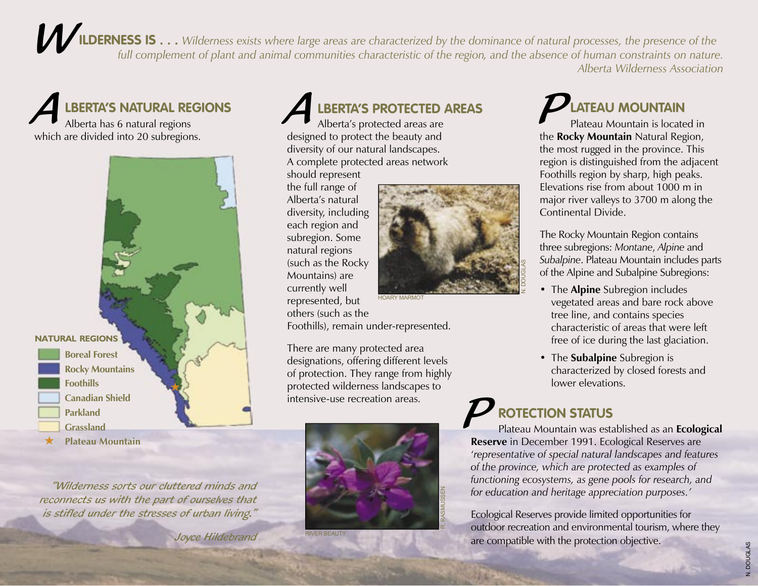*ILDERNESS IS* . . . Wilderness exists where large areas are characterized by the dominance of natural processes, the presence of the *full complement of plant and animal communities characterized by the dominance of natural processes, the presence of the full complement of plant and animal communities characteristic of the region, and the absence of hu Alberta Wilderness Association* 

Alberta has 6 natural regions **A**<br>Alberta has 6 natural regions<br>Alberta's protected areas are<br>Alberta's protected areas are<br>Plateau Mountain is locate

which are divided into 20 subregions.



"Wilderness sorts our cluttered minds and reconnects us with the part of ourselves that is stifled under the stresses of urban living."

Joyce Hildebrand

Alberta's protected areas are designed to protect the beauty and diversity of our natural landscapes. A complete protected areas network should represent

the full range of Alberta's natural diversity, including each region and subregion. Some natural regions (such as the Rocky Mountains) are currently well represented, but others (such as the



Foothills), remain under-represented.

There are many protected area designations, offering different levels of protection. They range from highly protected wilderness landscapes to intensive-use recreation areas.



RIVER BEAUTY

Plateau Mountain is located in the **Rocky Mountain** Natural Region, the most rugged in the province. This region is distinguished from the adjacent Foothills region by sharp, high peaks. Elevations rise from about 1000 m in major river valleys to 3700 m along the Continental Divide.

The Rocky Mountain Region contains three subregions: *Montane*, *Alpine* and *Subalpine*. Plateau Mountain includes parts of the Alpine and Subalpine Subregions:

- The **Alpine** Subregion includes vegetated areas and bare rock above tree line, and contains species characteristic of areas that were left free of ice during the last glaciation.
- The **Subalpine** Subregion is characterized by closed forests and lower elevations.

## P**ROTECTION STATUS**

Plateau Mountain was established as an **Ecological Reserve** in December 1991. Ecological Reserves are '*representative of special natural landscapes and features of the province, which are protected as examples of functioning ecosystems, as gene pools for research, and for education and heritage appreciation purposes.'*

Ecological Reserves provide limited opportunities for outdoor recreation and environmental tourism, where they are compatible with the protection objective.